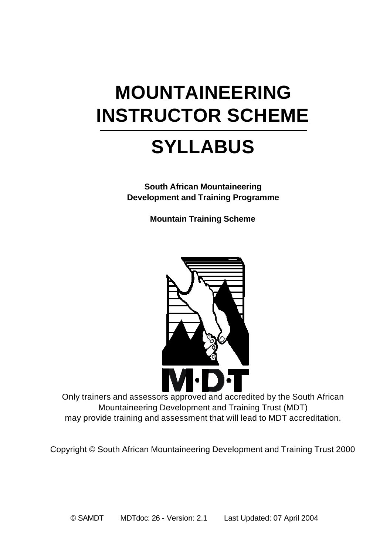# **MOUNTAINEERING INSTRUCTOR SCHEME**

### **SYLLABUS**

**South African Mountaineering Development and Training Programme**

**Mountain Training Scheme**



Only trainers and assessors approved and accredited by the South African Mountaineering Development and Training Trust (MDT) may provide training and assessment that will lead to MDT accreditation.

Copyright © South African Mountaineering Development and Training Trust 2000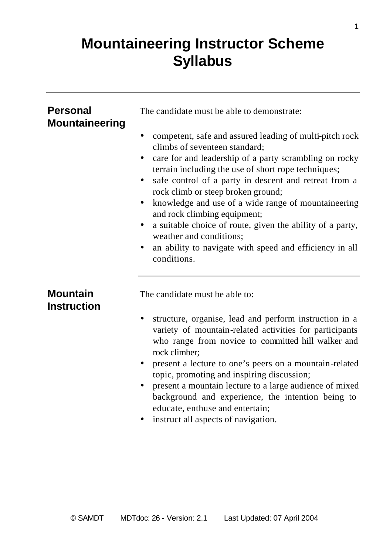### **Mountaineering Instructor Scheme Syllabus**

| <b>Personal</b><br><b>Mountaineering</b> | The candidate must be able to demonstrate:                                                                                                                                                                                                                                                                                                                                                                                                                                                                                                                                       |
|------------------------------------------|----------------------------------------------------------------------------------------------------------------------------------------------------------------------------------------------------------------------------------------------------------------------------------------------------------------------------------------------------------------------------------------------------------------------------------------------------------------------------------------------------------------------------------------------------------------------------------|
|                                          | competent, safe and assured leading of multi-pitch rock<br>climbs of seventeen standard;<br>care for and leadership of a party scrambling on rocky<br>terrain including the use of short rope techniques;<br>safe control of a party in descent and retreat from a<br>٠<br>rock climb or steep broken ground;<br>knowledge and use of a wide range of mountaineering<br>٠<br>and rock climbing equipment;<br>a suitable choice of route, given the ability of a party,<br>٠<br>weather and conditions;<br>an ability to navigate with speed and efficiency in all<br>conditions. |
| <b>Mountain</b><br><b>Instruction</b>    | The candidate must be able to:                                                                                                                                                                                                                                                                                                                                                                                                                                                                                                                                                   |
|                                          | structure, organise, lead and perform instruction in a<br>variety of mountain-related activities for participants<br>who range from novice to committed hill walker and<br>rock climber;<br>present a lecture to one's peers on a mountain-related<br>topic, promoting and inspiring discussion;<br>present a mountain lecture to a large audience of mixed<br>٠<br>background and experience, the intention being to<br>educate, enthuse and entertain;<br>instruct all aspects of navigation.                                                                                  |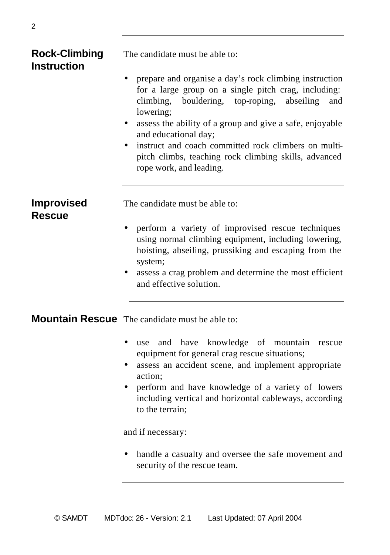# **Instruction**

**Rock-Climbing** The candidate must be able to:

- prepare and organise a day's rock climbing instruction for a large group on a single pitch crag, including: climbing, bouldering, top-roping, abseiling and lowering;
- assess the ability of a group and give a safe, enjoyable and educational day;
- instruct and coach committed rock climbers on multipitch climbs, teaching rock climbing skills, advanced rope work, and leading.

**Rescue**

**Improvised** The candidate must be able to:

- perform a variety of improvised rescue techniques using normal climbing equipment, including lowering, hoisting, abseiling, prussiking and escaping from the system;
- assess a crag problem and determine the most efficient and effective solution.

**Mountain Rescue** The candidate must be able to:

- use and have knowledge of mountain rescue equipment for general crag rescue situations;
- assess an accident scene, and implement appropriate action;
- perform and have knowledge of a variety of lowers including vertical and horizontal cableways, according to the terrain;

and if necessary:

• handle a casualty and oversee the safe movement and security of the rescue team.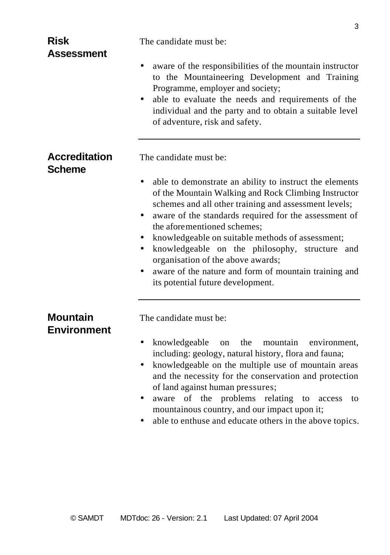| <b>Risk</b><br>Assessment             | The candidate must be:                                                                                                                                                                                                                                                                                                                                                                                                                                                                                    |
|---------------------------------------|-----------------------------------------------------------------------------------------------------------------------------------------------------------------------------------------------------------------------------------------------------------------------------------------------------------------------------------------------------------------------------------------------------------------------------------------------------------------------------------------------------------|
|                                       | aware of the responsibilities of the mountain instructor<br>to the Mountaineering Development and Training<br>Programme, employer and society;<br>able to evaluate the needs and requirements of the<br>individual and the party and to obtain a suitable level<br>of adventure, risk and safety.                                                                                                                                                                                                         |
| <b>Accreditation</b><br><b>Scheme</b> | The candidate must be:                                                                                                                                                                                                                                                                                                                                                                                                                                                                                    |
|                                       | able to demonstrate an ability to instruct the elements<br>of the Mountain Walking and Rock Climbing Instructor<br>schemes and all other training and assessment levels;<br>aware of the standards required for the assessment of<br>the aforementioned schemes;<br>knowledgeable on suitable methods of assessment;<br>knowledgeable on the philosophy, structure and<br>organisation of the above awards;<br>aware of the nature and form of mountain training and<br>its potential future development. |
| <b>Mountain</b><br><b>Environment</b> | The candidate must be:                                                                                                                                                                                                                                                                                                                                                                                                                                                                                    |
|                                       | the<br>knowledgeable<br>mountain<br>environment.<br>on<br>including: geology, natural history, flora and fauna;<br>knowledgeable on the multiple use of mountain areas<br>٠<br>and the necessity for the conservation and protection<br>of land against human pressures;<br>of the problems<br>relating<br>aware<br>to<br>access<br>to<br>mountainous country, and our impact upon it;<br>able to enthuse and educate others in the above topics.                                                         |

3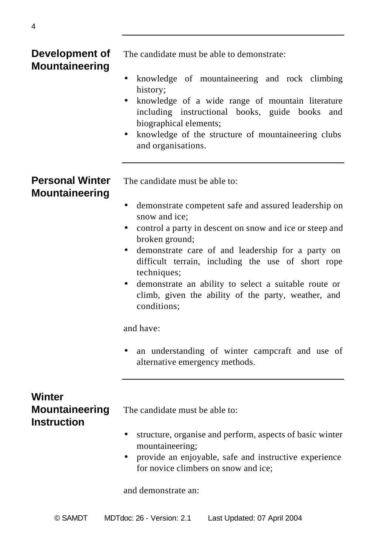# **Mountaineering**

**Development of** The candidate must be able to demonstrate:

- knowledge of mountaineering and rock climbing history;
- knowledge of a wide range of mountain literature including instructional books, guide books and biographical elements;
- knowledge of the structure of mountaineering clubs and organisations.

# **Mountaineering**

**Personal Winter** The candidate must be able to:

- demonstrate competent safe and assured leadership on snow and ice;
- control a party in descent on snow and ice or steep and broken ground;
- demonstrate care of and leadership for a party on difficult terrain, including the use of short rope techniques;
- demonstrate an ability to select a suitable route or climb, given the ability of the party, weather, and conditions;

and have:

• an understanding of winter campcraft and use of alternative emergency methods.

### **Winter Instruction**

**Mountaineering** The candidate must be able to:

- structure, organise and perform, aspects of basic winter mountaineering;
- provide an enjoyable, safe and instructive experience for novice climbers on snow and ice;

and demonstrate an: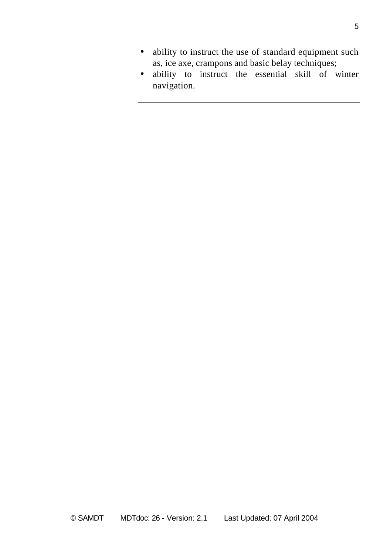- ability to instruct the use of standard equipment such as, ice axe, crampons and basic belay techniques;
- ability to instruct the essential skill of winter navigation.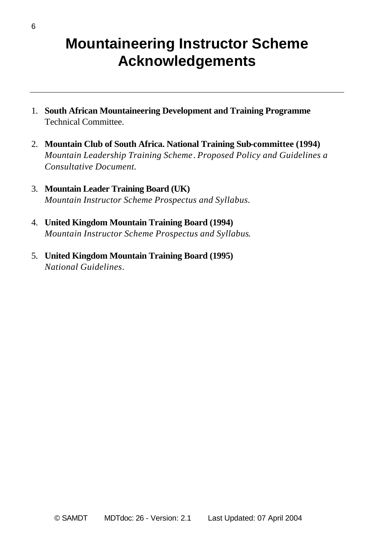### **Mountaineering Instructor Scheme Acknowledgements**

- 1. **South African Mountaineering Development and Training Programme** Technical Committee.
- 2. **Mountain Club of South Africa. National Training Sub-committee (1994)** *Mountain Leadership Training Scheme*. *Proposed Policy and Guidelines a Consultative Document.*
- 3. **Mountain Leader Training Board (UK)** *Mountain Instructor Scheme Prospectus and Syllabus.*
- 4. **United Kingdom Mountain Training Board (1994)** *Mountain Instructor Scheme Prospectus and Syllabus*.
- 5. **United Kingdom Mountain Training Board (1995)** *National Guidelines*.